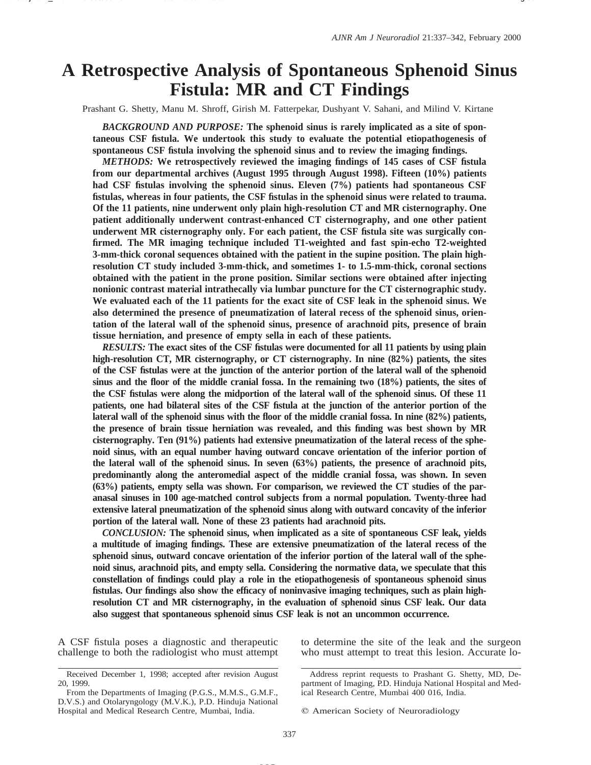# **A Retrospective Analysis of Spontaneous Sphenoid Sinus Fistula: MR and CT Findings**

Prashant G. Shetty, Manu M. Shroff, Girish M. Fatterpekar, Dushyant V. Sahani, and Milind V. Kirtane

*BACKGROUND AND PURPOSE:* **The sphenoid sinus is rarely implicated as a site of spontaneous CSF fistula. We undertook this study to evaluate the potential etiopathogenesis of spontaneous CSF fistula involving the sphenoid sinus and to review the imaging findings.**

*METHODS:* **We retrospectively reviewed the imaging findings of 145 cases of CSF fistula from our departmental archives (August 1995 through August 1998). Fifteen (10%) patients had CSF fistulas involving the sphenoid sinus. Eleven (7%) patients had spontaneous CSF fistulas, whereas in four patients, the CSF fistulas in the sphenoid sinus were related to trauma. Of the 11 patients, nine underwent only plain high-resolution CT and MR cisternography. One patient additionally underwent contrast-enhanced CT cisternography, and one other patient underwent MR cisternography only. For each patient, the CSF fistula site was surgically confirmed. The MR imaging technique included T1-weighted and fast spin-echo T2-weighted 3-mm-thick coronal sequences obtained with the patient in the supine position. The plain highresolution CT study included 3-mm-thick, and sometimes 1- to 1.5-mm-thick, coronal sections obtained with the patient in the prone position. Similar sections were obtained after injecting nonionic contrast material intrathecally via lumbar puncture for the CT cisternographic study. We evaluated each of the 11 patients for the exact site of CSF leak in the sphenoid sinus. We also determined the presence of pneumatization of lateral recess of the sphenoid sinus, orientation of the lateral wall of the sphenoid sinus, presence of arachnoid pits, presence of brain tissue herniation, and presence of empty sella in each of these patients.**

*RESULTS:* **The exact sites of the CSF fistulas were documented for all 11 patients by using plain high-resolution CT, MR cisternography, or CT cisternography. In nine (82%) patients, the sites of the CSF fistulas were at the junction of the anterior portion of the lateral wall of the sphenoid sinus and the floor of the middle cranial fossa. In the remaining two (18%) patients, the sites of the CSF fistulas were along the midportion of the lateral wall of the sphenoid sinus. Of these 11 patients, one had bilateral sites of the CSF fistula at the junction of the anterior portion of the lateral wall of the sphenoid sinus with the floor of the middle cranial fossa. In nine (82%) patients, the presence of brain tissue herniation was revealed, and this finding was best shown by MR cisternography. Ten (91%) patients had extensive pneumatization of the lateral recess of the sphenoid sinus, with an equal number having outward concave orientation of the inferior portion of the lateral wall of the sphenoid sinus. In seven (63%) patients, the presence of arachnoid pits, predominantly along the anteromedial aspect of the middle cranial fossa, was shown. In seven (63%) patients, empty sella was shown. For comparison, we reviewed the CT studies of the paranasal sinuses in 100 age-matched control subjects from a normal population. Twenty-three had extensive lateral pneumatization of the sphenoid sinus along with outward concavity of the inferior portion of the lateral wall. None of these 23 patients had arachnoid pits.**

*CONCLUSION:* **The sphenoid sinus, when implicated as a site of spontaneous CSF leak, yields a multitude of imaging findings. These are extensive pneumatization of the lateral recess of the sphenoid sinus, outward concave orientation of the inferior portion of the lateral wall of the sphenoid sinus, arachnoid pits, and empty sella. Considering the normative data, we speculate that this constellation of findings could play a role in the etiopathogenesis of spontaneous sphenoid sinus fistulas. Our findings also show the efficacy of noninvasive imaging techniques, such as plain highresolution CT and MR cisternography, in the evaluation of sphenoid sinus CSF leak. Our data also suggest that spontaneous sphenoid sinus CSF leak is not an uncommon occurrence.**

A CSF fistula poses a diagnostic and therapeutic challenge to both the radiologist who must attempt to determine the site of the leak and the surgeon who must attempt to treat this lesion. Accurate lo-

Received December 1, 1998; accepted after revision August 20, 1999.

From the Departments of Imaging (P.G.S., M.M.S., G.M.F., D.V.S.) and Otolaryngology (M.V.K.), P.D. Hinduja National Hospital and Medical Research Centre, Mumbai, India.

Address reprint requests to Prashant G. Shetty, MD, Department of Imaging, P.D. Hinduja National Hospital and Medical Research Centre, Mumbai 400 016, India.

 $Q$  American Society of Neuroradiology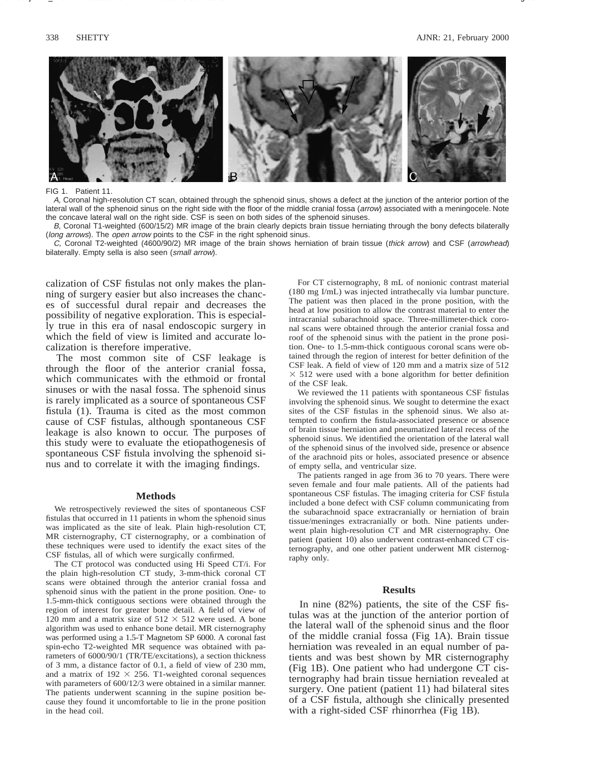

FIG 1 Patient 11

A, Coronal high-resolution CT scan, obtained through the sphenoid sinus, shows a defect at the junction of the anterior portion of the lateral wall of the sphenoid sinus on the right side with the floor of the middle cranial fossa (arrow) associated with a meningocele. Note the concave lateral wall on the right side. CSF is seen on both sides of the sphenoid sinuses.

B, Coronal T1-weighted (600/15/2) MR image of the brain clearly depicts brain tissue herniating through the bony defects bilaterally (long arrows). The open arrow points to the CSF in the right sphenoid sinus.

C, Coronal T2-weighted (4600/90/2) MR image of the brain shows herniation of brain tissue (thick arrow) and CSF (arrowhead) bilaterally. Empty sella is also seen (small arrow).

calization of CSF fistulas not only makes the planning of surgery easier but also increases the chances of successful dural repair and decreases the possibility of negative exploration. This is especially true in this era of nasal endoscopic surgery in which the field of view is limited and accurate localization is therefore imperative.

The most common site of CSF leakage is through the floor of the anterior cranial fossa, which communicates with the ethmoid or frontal sinuses or with the nasal fossa. The sphenoid sinus is rarely implicated as a source of spontaneous CSF fistula (1). Trauma is cited as the most common cause of CSF fistulas, although spontaneous CSF leakage is also known to occur. The purposes of this study were to evaluate the etiopathogenesis of spontaneous CSF fistula involving the sphenoid sinus and to correlate it with the imaging findings.

# **Methods**

We retrospectively reviewed the sites of spontaneous CSF fistulas that occurred in 11 patients in whom the sphenoid sinus was implicated as the site of leak. Plain high-resolution CT, MR cisternography, CT cisternography, or a combination of these techniques were used to identify the exact sites of the CSF fistulas, all of which were surgically confirmed.

The CT protocol was conducted using Hi Speed CT/i. For the plain high-resolution CT study, 3-mm-thick coronal CT scans were obtained through the anterior cranial fossa and sphenoid sinus with the patient in the prone position. One- to 1.5-mm-thick contiguous sections were obtained through the region of interest for greater bone detail. A field of view of 120 mm and a matrix size of  $512 \times 512$  were used. A bone algorithm was used to enhance bone detail. MR cisternography was performed using a 1.5-T Magnetom SP 6000. A coronal fast spin-echo T2-weighted MR sequence was obtained with parameters of 6000/90/1 (TR/TE/excitations), a section thickness of 3 mm, a distance factor of 0.1, a field of view of 230 mm, and a matrix of  $192 \times 256$ . T1-weighted coronal sequences with parameters of 600/12/3 were obtained in a similar manner. The patients underwent scanning in the supine position because they found it uncomfortable to lie in the prone position in the head coil.

For CT cisternography, 8 mL of nonionic contrast material (180 mg I/mL) was injected intrathecally via lumbar puncture. The patient was then placed in the prone position, with the head at low position to allow the contrast material to enter the intracranial subarachnoid space. Three-millimeter-thick coronal scans were obtained through the anterior cranial fossa and roof of the sphenoid sinus with the patient in the prone position. One- to 1.5-mm-thick contiguous coronal scans were obtained through the region of interest for better definition of the CSF leak. A field of view of 120 mm and a matrix size of 512  $\times$  512 were used with a bone algorithm for better definition of the CSF leak.

We reviewed the 11 patients with spontaneous CSF fistulas involving the sphenoid sinus. We sought to determine the exact sites of the CSF fistulas in the sphenoid sinus. We also attempted to confirm the fistula-associated presence or absence of brain tissue herniation and pneumatized lateral recess of the sphenoid sinus. We identified the orientation of the lateral wall of the sphenoid sinus of the involved side, presence or absence of the arachnoid pits or holes, associated presence or absence of empty sella, and ventricular size.

The patients ranged in age from 36 to 70 years. There were seven female and four male patients. All of the patients had spontaneous CSF fistulas. The imaging criteria for CSF fistula included a bone defect with CSF column communicating from the subarachnoid space extracranially or herniation of brain tissue/meninges extracranially or both. Nine patients underwent plain high-resolution CT and MR cisternography. One patient (patient 10) also underwent contrast-enhanced CT cisternography, and one other patient underwent MR cisternography only.

### **Results**

In nine (82%) patients, the site of the CSF fistulas was at the junction of the anterior portion of the lateral wall of the sphenoid sinus and the floor of the middle cranial fossa (Fig 1A). Brain tissue herniation was revealed in an equal number of patients and was best shown by MR cisternography (Fig 1B). One patient who had undergone CT cisternography had brain tissue herniation revealed at surgery. One patient (patient 11) had bilateral sites of a CSF fistula, although she clinically presented with a right-sided CSF rhinorrhea (Fig 1B).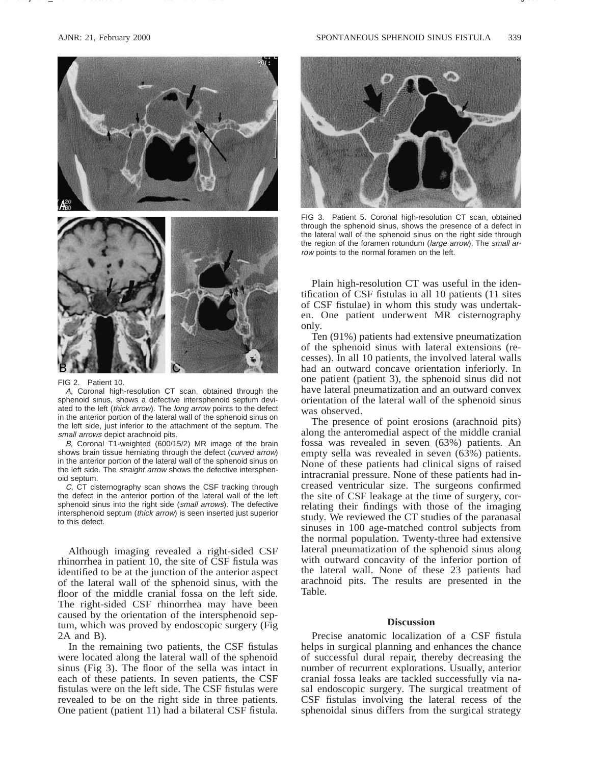

FIG 2. Patient 10.

A, Coronal high-resolution CT scan, obtained through the sphenoid sinus, shows a defective intersphenoid septum deviated to the left (thick arrow). The long arrow points to the defect in the anterior portion of the lateral wall of the sphenoid sinus on the left side, just inferior to the attachment of the septum. The small arrows depict arachnoid pits.

B, Coronal T1-weighted (600/15/2) MR image of the brain shows brain tissue herniating through the defect (curved arrow) in the anterior portion of the lateral wall of the sphenoid sinus on the left side. The straight arrow shows the defective intersphenoid septum.

C, CT cisternography scan shows the CSF tracking through the defect in the anterior portion of the lateral wall of the left sphenoid sinus into the right side (small arrows). The defective intersphenoid septum (thick arrow) is seen inserted just superior to this defect.

Although imaging revealed a right-sided CSF rhinorrhea in patient 10, the site of CSF fistula was identified to be at the junction of the anterior aspect of the lateral wall of the sphenoid sinus, with the floor of the middle cranial fossa on the left side. The right-sided CSF rhinorrhea may have been caused by the orientation of the intersphenoid septum, which was proved by endoscopic surgery (Fig 2A and B).

In the remaining two patients, the CSF fistulas were located along the lateral wall of the sphenoid sinus (Fig 3). The floor of the sella was intact in each of these patients. In seven patients, the CSF fistulas were on the left side. The CSF fistulas were revealed to be on the right side in three patients. One patient (patient 11) had a bilateral CSF fistula.



FIG 3. Patient 5. Coronal high-resolution CT scan, obtained through the sphenoid sinus, shows the presence of a defect in the lateral wall of the sphenoid sinus on the right side through the region of the foramen rotundum (large arrow). The small arrow points to the normal foramen on the left.

Plain high-resolution CT was useful in the identification of CSF fistulas in all 10 patients (11 sites of CSF fistulae) in whom this study was undertaken. One patient underwent MR cisternography only.

Ten (91%) patients had extensive pneumatization of the sphenoid sinus with lateral extensions (recesses). In all 10 patients, the involved lateral walls had an outward concave orientation inferiorly. In one patient (patient 3), the sphenoid sinus did not have lateral pneumatization and an outward convex orientation of the lateral wall of the sphenoid sinus was observed.

The presence of point erosions (arachnoid pits) along the anteromedial aspect of the middle cranial fossa was revealed in seven (63%) patients. An empty sella was revealed in seven (63%) patients. None of these patients had clinical signs of raised intracranial pressure. None of these patients had increased ventricular size. The surgeons confirmed the site of CSF leakage at the time of surgery, correlating their findings with those of the imaging study. We reviewed the CT studies of the paranasal sinuses in 100 age-matched control subjects from the normal population. Twenty-three had extensive lateral pneumatization of the sphenoid sinus along with outward concavity of the inferior portion of the lateral wall. None of these 23 patients had arachnoid pits. The results are presented in the Table.

## **Discussion**

Precise anatomic localization of a CSF fistula helps in surgical planning and enhances the chance of successful dural repair, thereby decreasing the number of recurrent explorations. Usually, anterior cranial fossa leaks are tackled successfully via nasal endoscopic surgery. The surgical treatment of CSF fistulas involving the lateral recess of the sphenoidal sinus differs from the surgical strategy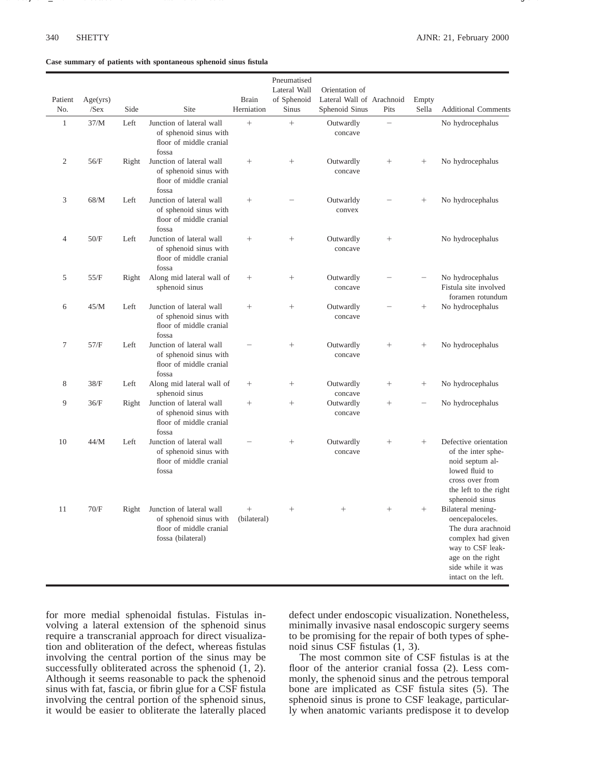#### **Case summary of patients with spontaneous sphenoid sinus fistula**

| Patient      | Age(yrs) |              |                                                                                                    | <b>Brain</b>          | Pneumatised<br>Lateral Wall<br>of Sphenoid | Orientation of<br>Lateral Wall of Arachnoid |                          | Empty                    |                                                                                                                                                                     |
|--------------|----------|--------------|----------------------------------------------------------------------------------------------------|-----------------------|--------------------------------------------|---------------------------------------------|--------------------------|--------------------------|---------------------------------------------------------------------------------------------------------------------------------------------------------------------|
| No.          | $/$ Sex  | Side         | Site                                                                                               | Herniation            | <b>Sinus</b>                               | Sphenoid Sinus                              | Pits                     | Sella                    | <b>Additional Comments</b>                                                                                                                                          |
| $\mathbf{1}$ | 37/M     | ${\rm Left}$ | Junction of lateral wall<br>of sphenoid sinus with<br>floor of middle cranial<br>fossa             | $^{+}$                | $^{+}$                                     | Outwardly<br>concave                        | $\overline{\phantom{0}}$ |                          | No hydrocephalus                                                                                                                                                    |
| 2            | 56/F     | Right        | Junction of lateral wall<br>of sphenoid sinus with<br>floor of middle cranial<br>fossa             |                       | $\! + \!\!\!\!$                            | Outwardly<br>concave                        | $\! + \!\!\!\!$          | $^{+}$                   | No hydrocephalus                                                                                                                                                    |
| 3            | 68/M     | Left         | Junction of lateral wall<br>of sphenoid sinus with<br>floor of middle cranial<br>fossa             |                       |                                            | Outwarldy<br>convex                         |                          | $^{+}$                   | No hydrocephalus                                                                                                                                                    |
| 4            | 50/F     | Left         | Junction of lateral wall<br>of sphenoid sinus with<br>floor of middle cranial<br>fossa             | $^{+}$                | $^{+}$                                     | Outwardly<br>concave                        |                          |                          | No hydrocephalus                                                                                                                                                    |
| 5            | 55/F     | Right        | Along mid lateral wall of<br>sphenoid sinus                                                        |                       | $\! + \!\!\!\!$                            | Outwardly<br>concave                        |                          | -                        | No hydrocephalus<br>Fistula site involved<br>foramen rotundum                                                                                                       |
| 6            | 45/M     | Left         | Junction of lateral wall<br>of sphenoid sinus with<br>floor of middle cranial<br>fossa             | $^{+}$                | $\! + \!\!\!\!$                            | Outwardly<br>concave                        |                          | $^{+}$                   | No hydrocephalus                                                                                                                                                    |
| 7            | 57/F     | Left         | Junction of lateral wall<br>of sphenoid sinus with<br>floor of middle cranial<br>fossa             |                       |                                            | Outwardly<br>concave                        | $\! + \!\!\!\!$          | $^{+}$                   | No hydrocephalus                                                                                                                                                    |
| 8            | 38/F     | Left         | Along mid lateral wall of<br>sphenoid sinus                                                        |                       | $\! + \!\!\!\!$                            | Outwardly<br>concave                        | $\! + \!\!\!\!$          | $^{+}$                   | No hydrocephalus                                                                                                                                                    |
| 9            | 36/F     | Right        | Junction of lateral wall<br>of sphenoid sinus with<br>floor of middle cranial<br>fossa             | $^{+}$                | $^{+}$                                     | Outwardly<br>concave                        | $\! + \!\!\!\!$          | $\overline{\phantom{0}}$ | No hydrocephalus                                                                                                                                                    |
| 10           | 44/M     | Left         | Junction of lateral wall<br>of sphenoid sinus with<br>floor of middle cranial<br>fossa             |                       | $^{+}$                                     | Outwardly<br>concave                        | $\! + \!\!\!\!$          | $\! + \!\!\!\!$          | Defective orientation<br>of the inter sphe-<br>noid septum al-<br>lowed fluid to<br>cross over from<br>the left to the right<br>sphenoid sinus                      |
| 11           | $70/F$   | Right        | Junction of lateral wall<br>of sphenoid sinus with<br>floor of middle cranial<br>fossa (bilateral) | $^{+}$<br>(bilateral) | $\! + \!\!\!\!$                            | $^{+}$                                      | $^{+}$                   | $^{+}$                   | Bilateral mening-<br>oencepaloceles.<br>The dura arachnoid<br>complex had given<br>way to CSF leak-<br>age on the right<br>side while it was<br>intact on the left. |

for more medial sphenoidal fistulas. Fistulas involving a lateral extension of the sphenoid sinus require a transcranial approach for direct visualization and obliteration of the defect, whereas fistulas involving the central portion of the sinus may be successfully obliterated across the sphenoid (1, 2). Although it seems reasonable to pack the sphenoid sinus with fat, fascia, or fibrin glue for a CSF fistula involving the central portion of the sphenoid sinus, it would be easier to obliterate the laterally placed

defect under endoscopic visualization. Nonetheless, minimally invasive nasal endoscopic surgery seems to be promising for the repair of both types of sphenoid sinus CSF fistulas (1, 3).

The most common site of CSF fistulas is at the floor of the anterior cranial fossa (2). Less commonly, the sphenoid sinus and the petrous temporal bone are implicated as CSF fistula sites (5). The sphenoid sinus is prone to CSF leakage, particularly when anatomic variants predispose it to develop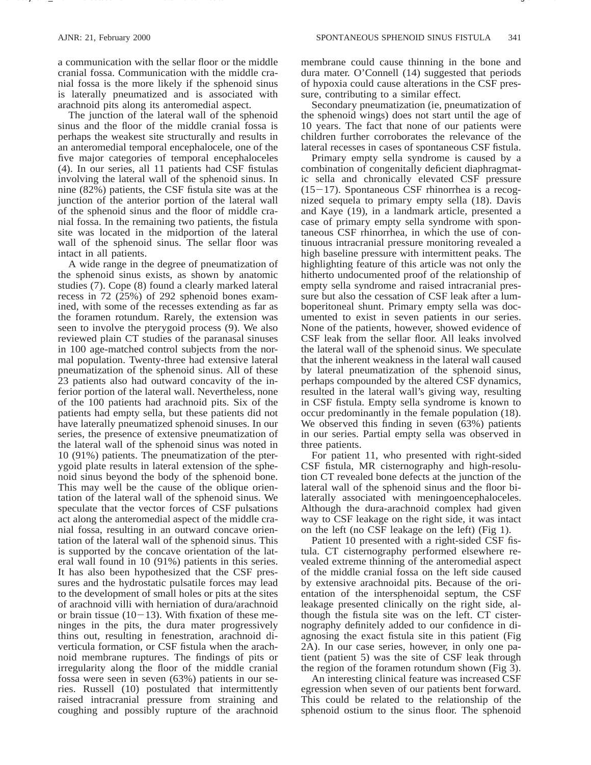a communication with the sellar floor or the middle cranial fossa. Communication with the middle cranial fossa is the more likely if the sphenoid sinus is laterally pneumatized and is associated with arachnoid pits along its anteromedial aspect.

The junction of the lateral wall of the sphenoid sinus and the floor of the middle cranial fossa is perhaps the weakest site structurally and results in an anteromedial temporal encephalocele, one of the five major categories of temporal encephaloceles (4). In our series, all 11 patients had CSF fistulas involving the lateral wall of the sphenoid sinus. In nine (82%) patients, the CSF fistula site was at the junction of the anterior portion of the lateral wall of the sphenoid sinus and the floor of middle cranial fossa. In the remaining two patients, the fistula site was located in the midportion of the lateral wall of the sphenoid sinus. The sellar floor was intact in all patients.

A wide range in the degree of pneumatization of the sphenoid sinus exists, as shown by anatomic studies (7). Cope (8) found a clearly marked lateral recess in 72 (25%) of 292 sphenoid bones examined, with some of the recesses extending as far as the foramen rotundum. Rarely, the extension was seen to involve the pterygoid process (9). We also reviewed plain CT studies of the paranasal sinuses in 100 age-matched control subjects from the normal population. Twenty-three had extensive lateral pneumatization of the sphenoid sinus. All of these 23 patients also had outward concavity of the inferior portion of the lateral wall. Nevertheless, none of the 100 patients had arachnoid pits. Six of the patients had empty sella, but these patients did not have laterally pneumatized sphenoid sinuses. In our series, the presence of extensive pneumatization of the lateral wall of the sphenoid sinus was noted in 10 (91%) patients. The pneumatization of the pterygoid plate results in lateral extension of the sphenoid sinus beyond the body of the sphenoid bone. This may well be the cause of the oblique orientation of the lateral wall of the sphenoid sinus. We speculate that the vector forces of CSF pulsations act along the anteromedial aspect of the middle cranial fossa, resulting in an outward concave orientation of the lateral wall of the sphenoid sinus. This is supported by the concave orientation of the lateral wall found in 10 (91%) patients in this series. It has also been hypothesized that the CSF pressures and the hydrostatic pulsatile forces may lead to the development of small holes or pits at the sites of arachnoid villi with herniation of dura/arachnoid or brain tissue  $(10-13)$ . With fixation of these meninges in the pits, the dura mater progressively thins out, resulting in fenestration, arachnoid diverticula formation, or CSF fistula when the arachnoid membrane ruptures. The findings of pits or irregularity along the floor of the middle cranial fossa were seen in seven (63%) patients in our series. Russell (10) postulated that intermittently raised intracranial pressure from straining and coughing and possibly rupture of the arachnoid membrane could cause thinning in the bone and dura mater. O'Connell (14) suggested that periods of hypoxia could cause alterations in the CSF pressure, contributing to a similar effect.

Secondary pneumatization (ie, pneumatization of the sphenoid wings) does not start until the age of 10 years. The fact that none of our patients were children further corroborates the relevance of the lateral recesses in cases of spontaneous CSF fistula.

Primary empty sella syndrome is caused by a combination of congenitally deficient diaphragmatic sella and chronically elevated CSF pressure  $(15-17)$ . Spontaneous CSF rhinorrhea is a recognized sequela to primary empty sella (18). Davis and Kaye (19), in a landmark article, presented a case of primary empty sella syndrome with spontaneous CSF rhinorrhea, in which the use of continuous intracranial pressure monitoring revealed a high baseline pressure with intermittent peaks. The highlighting feature of this article was not only the hitherto undocumented proof of the relationship of empty sella syndrome and raised intracranial pressure but also the cessation of CSF leak after a lumboperitoneal shunt. Primary empty sella was documented to exist in seven patients in our series. None of the patients, however, showed evidence of CSF leak from the sellar floor. All leaks involved the lateral wall of the sphenoid sinus. We speculate that the inherent weakness in the lateral wall caused by lateral pneumatization of the sphenoid sinus, perhaps compounded by the altered CSF dynamics, resulted in the lateral wall's giving way, resulting in CSF fistula. Empty sella syndrome is known to occur predominantly in the female population (18). We observed this finding in seven (63%) patients in our series. Partial empty sella was observed in three patients.

For patient 11, who presented with right-sided CSF fistula, MR cisternography and high-resolution CT revealed bone defects at the junction of the lateral wall of the sphenoid sinus and the floor bilaterally associated with meningoencephaloceles. Although the dura-arachnoid complex had given way to CSF leakage on the right side, it was intact on the left (no CSF leakage on the left) (Fig 1).

Patient 10 presented with a right-sided CSF fistula. CT cisternography performed elsewhere revealed extreme thinning of the anteromedial aspect of the middle cranial fossa on the left side caused by extensive arachnoidal pits. Because of the orientation of the intersphenoidal septum, the CSF leakage presented clinically on the right side, although the fistula site was on the left. CT cisternography definitely added to our confidence in diagnosing the exact fistula site in this patient (Fig 2A). In our case series, however, in only one patient (patient 5) was the site of CSF leak through the region of the foramen rotundum shown (Fig 3).

An interesting clinical feature was increased CSF egression when seven of our patients bent forward. This could be related to the relationship of the sphenoid ostium to the sinus floor. The sphenoid